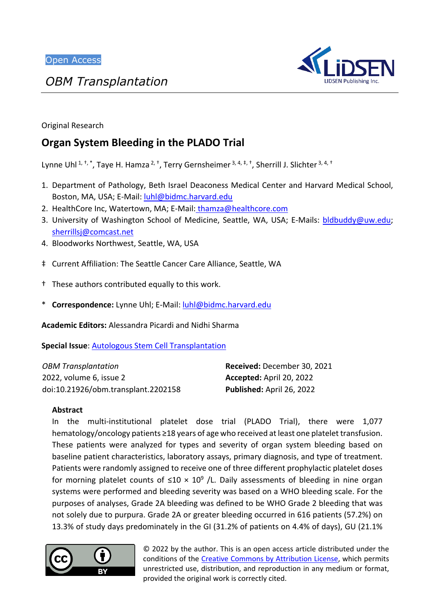*OBM Transplantation*



Original Research

# **Organ System Bleeding in the PLADO Trial**

Lynne Uhl<sup>1, †,\*</sup>, Taye H. Hamza<sup>2, †</sup>, Terry Gernsheimer <sup>3, 4, ‡, †</sup>, Sherrill J. Slichter <sup>3, 4, †</sup>

- 1. Department of Pathology, Beth Israel Deaconess Medical Center and Harvard Medical School, Boston, MA, USA; E-Mail: [luhl@bidmc.harvard.edu](mailto:luhl@bidmc.harvard.edu)
- 2. HealthCore Inc, Watertown, MA; E-Mail: [thamza@healthcore.com](mailto:thamza@healthcore.com)
- 3. University of Washington School of Medicine, Seattle, WA, USA; E-Mails: [bldbuddy@uw.edu;](mailto:bldbuddy@uw.edu) [sherrillsj@comcast.net](mailto:sherrillsj@comcast.net)
- 4. Bloodworks Northwest, Seattle, WA, USA
- ‡ Current Affiliation: The Seattle Cancer Care Alliance, Seattle, WA
- † These authors contributed equally to this work.
- \* **Correspondence:** Lynne Uhl; E-Mail: [luhl@bidmc.harvard.edu](mailto:luhl@bidmc.harvard.edu)

**Academic Editors:** Alessandra Picardi and Nidhi Sharma

**Special Issue**: [Autologous Stem Cell Transplantation](https://www.lidsen.com/journals/transplantation/transplantation-special-issues/autologous-stem-cell-transplant)

| <b>OBM Transplantation</b>          | Received: December 30, 2021 |
|-------------------------------------|-----------------------------|
| 2022, volume 6, issue 2             | Accepted: April 20, 2022    |
| doi:10.21926/obm.transplant.2202158 | Published: April 26, 2022   |

#### **Abstract**

In the multi-institutional platelet dose trial (PLADO Trial), there were 1,077 hematology/oncology patients ≥18 years of age who received at least one platelet transfusion. These patients were analyzed for types and severity of organ system bleeding based on baseline patient characteristics, laboratory assays, primary diagnosis, and type of treatment. Patients were randomly assigned to receive one of three different prophylactic platelet doses for morning platelet counts of  $\leq 10 \times 10^9$  /L. Daily assessments of bleeding in nine organ systems were performed and bleeding severity was based on a WHO bleeding scale. For the purposes of analyses, Grade 2A bleeding was defined to be WHO Grade 2 bleeding that was not solely due to purpura. Grade 2A or greater bleeding occurred in 616 patients (57.2%) on 13.3% of study days predominately in the GI (31.2% of patients on 4.4% of days), GU (21.1%



© 2022 by the author. This is an open access article distributed under the conditions of the [Creative Commons by Attribution License,](http://creativecommons.org/licenses/by/4.0/) which permits unrestricted use, distribution, and reproduction in any medium or format, provided the original work is correctly cited.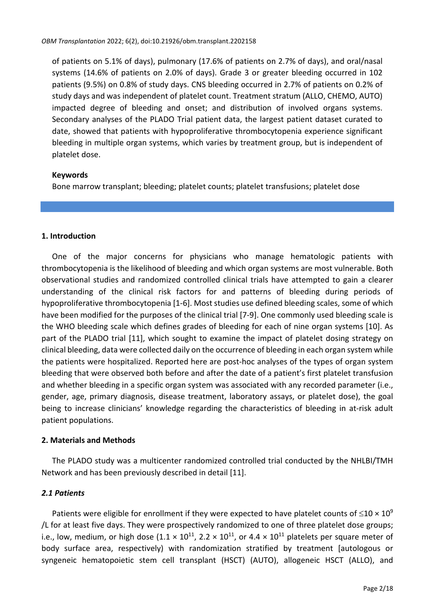of patients on 5.1% of days), pulmonary (17.6% of patients on 2.7% of days), and oral/nasal systems (14.6% of patients on 2.0% of days). Grade 3 or greater bleeding occurred in 102 patients (9.5%) on 0.8% of study days. CNS bleeding occurred in 2.7% of patients on 0.2% of study days and was independent of platelet count. Treatment stratum (ALLO, CHEMO, AUTO) impacted degree of bleeding and onset; and distribution of involved organs systems. Secondary analyses of the PLADO Trial patient data, the largest patient dataset curated to date, showed that patients with hypoproliferative thrombocytopenia experience significant bleeding in multiple organ systems, which varies by treatment group, but is independent of platelet dose.

#### **Keywords**

Bone marrow transplant; bleeding; platelet counts; platelet transfusions; platelet dose

#### **1. Introduction**

One of the major concerns for physicians who manage hematologic patients with thrombocytopenia is the likelihood of bleeding and which organ systems are most vulnerable. Both observational studies and randomized controlled clinical trials have attempted to gain a clearer understanding of the clinical risk factors for and patterns of bleeding during periods of hypoproliferative thrombocytopenia [1-6]. Most studies use defined bleeding scales, some of which have been modified for the purposes of the clinical trial [7-9]. One commonly used bleeding scale is the WHO bleeding scale which defines grades of bleeding for each of nine organ systems [10]. As part of the PLADO trial [11], which sought to examine the impact of platelet dosing strategy on clinical bleeding, data were collected daily on the occurrence of bleeding in each organ system while the patients were hospitalized. Reported here are post-hoc analyses of the types of organ system bleeding that were observed both before and after the date of a patient's first platelet transfusion and whether bleeding in a specific organ system was associated with any recorded parameter (i.e., gender, age, primary diagnosis, disease treatment, laboratory assays, or platelet dose), the goal being to increase clinicians' knowledge regarding the characteristics of bleeding in at-risk adult patient populations.

#### **2. Materials and Methods**

The PLADO study was a multicenter randomized controlled trial conducted by the NHLBI/TMH Network and has been previously described in detail [11].

### *2.1 Patients*

Patients were eligible for enrollment if they were expected to have platelet counts of  $\leq 10 \times 10^9$ /L for at least five days. They were prospectively randomized to one of three platelet dose groups; i.e., low, medium, or high dose (1.1  $\times$  10<sup>11</sup>, 2.2  $\times$  10<sup>11</sup>, or 4.4  $\times$  10<sup>11</sup> platelets per square meter of body surface area, respectively) with randomization stratified by treatment [autologous or syngeneic hematopoietic stem cell transplant (HSCT) (AUTO), allogeneic HSCT (ALLO), and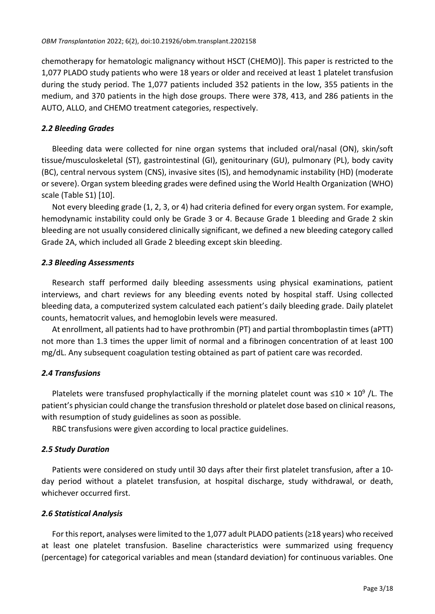chemotherapy for hematologic malignancy without HSCT (CHEMO)]. This paper is restricted to the 1,077 PLADO study patients who were 18 years or older and received at least 1 platelet transfusion during the study period. The 1,077 patients included 352 patients in the low, 355 patients in the medium, and 370 patients in the high dose groups. There were 378, 413, and 286 patients in the AUTO, ALLO, and CHEMO treatment categories, respectively.

## *2.2 Bleeding Grades*

Bleeding data were collected for nine organ systems that included oral/nasal (ON), skin/soft tissue/musculoskeletal (ST), gastrointestinal (GI), genitourinary (GU), pulmonary (PL), body cavity (BC), central nervous system (CNS), invasive sites (IS), and hemodynamic instability (HD) (moderate or severe). Organ system bleeding grades were defined using the World Health Organization (WHO) scale (Table S1) [10].

Not every bleeding grade (1, 2, 3, or 4) had criteria defined for every organ system. For example, hemodynamic instability could only be Grade 3 or 4. Because Grade 1 bleeding and Grade 2 skin bleeding are not usually considered clinically significant, we defined a new bleeding category called Grade 2A, which included all Grade 2 bleeding except skin bleeding.

## *2.3 Bleeding Assessments*

Research staff performed daily bleeding assessments using physical examinations, patient interviews, and chart reviews for any bleeding events noted by hospital staff. Using collected bleeding data, a computerized system calculated each patient's daily bleeding grade. Daily platelet counts, hematocrit values, and hemoglobin levels were measured.

At enrollment, all patients had to have prothrombin (PT) and partial thromboplastin times (aPTT) not more than 1.3 times the upper limit of normal and a fibrinogen concentration of at least 100 mg/dL. Any subsequent coagulation testing obtained as part of patient care was recorded.

## *2.4 Transfusions*

Platelets were transfused prophylactically if the morning platelet count was  $\leq$ 10  $\times$  10<sup>9</sup> /L. The patient's physician could change the transfusion threshold or platelet dose based on clinical reasons, with resumption of study guidelines as soon as possible.

RBC transfusions were given according to local practice guidelines.

## *2.5 Study Duration*

Patients were considered on study until 30 days after their first platelet transfusion, after a 10 day period without a platelet transfusion, at hospital discharge, study withdrawal, or death, whichever occurred first.

### *2.6 Statistical Analysis*

For this report, analyses were limited to the 1,077 adult PLADO patients ( $\geq$ 18 years) who received at least one platelet transfusion. Baseline characteristics were summarized using frequency (percentage) for categorical variables and mean (standard deviation) for continuous variables. One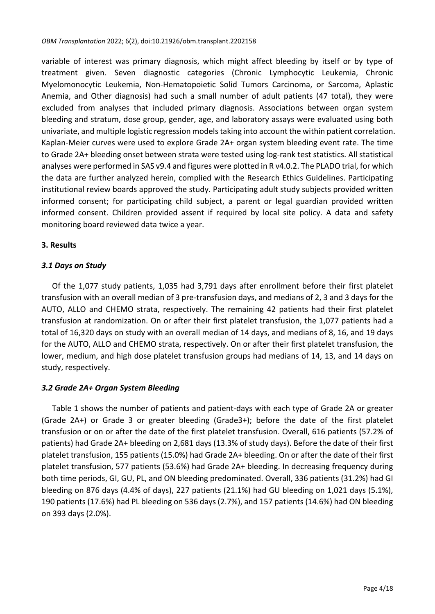variable of interest was primary diagnosis, which might affect bleeding by itself or by type of treatment given. Seven diagnostic categories (Chronic Lymphocytic Leukemia, Chronic Myelomonocytic Leukemia, Non-Hematopoietic Solid Tumors Carcinoma, or Sarcoma, Aplastic Anemia, and Other diagnosis) had such a small number of adult patients (47 total), they were excluded from analyses that included primary diagnosis. Associations between organ system bleeding and stratum, dose group, gender, age, and laboratory assays were evaluated using both univariate, and multiple logistic regression modelstaking into account the within patient correlation. Kaplan-Meier curves were used to explore Grade 2A+ organ system bleeding event rate. The time to Grade 2A+ bleeding onset between strata were tested using log-rank test statistics. All statistical analyses were performed in SAS v9.4 and figures were plotted in R v4.0.2. The PLADO trial, for which the data are further analyzed herein, complied with the Research Ethics Guidelines. Participating institutional review boards approved the study. Participating adult study subjects provided written informed consent; for participating child subject, a parent or legal guardian provided written informed consent. Children provided assent if required by local site policy. A data and safety monitoring board reviewed data twice a year.

### **3. Results**

### *3.1 Days on Study*

Of the 1,077 study patients, 1,035 had 3,791 days after enrollment before their first platelet transfusion with an overall median of 3 pre-transfusion days, and medians of 2, 3 and 3 days for the AUTO, ALLO and CHEMO strata, respectively. The remaining 42 patients had their first platelet transfusion at randomization. On or after their first platelet transfusion, the 1,077 patients had a total of 16,320 days on study with an overall median of 14 days, and medians of 8, 16, and 19 days for the AUTO, ALLO and CHEMO strata, respectively. On or after their first platelet transfusion, the lower, medium, and high dose platelet transfusion groups had medians of 14, 13, and 14 days on study, respectively.

### *3.2 Grade 2A+ Organ System Bleeding*

Table 1 shows the number of patients and patient-days with each type of Grade 2A or greater (Grade 2A+) or Grade 3 or greater bleeding (Grade3+); before the date of the first platelet transfusion or on or after the date of the first platelet transfusion. Overall, 616 patients (57.2% of patients) had Grade 2A+ bleeding on 2,681 days (13.3% of study days). Before the date of their first platelet transfusion, 155 patients (15.0%) had Grade 2A+ bleeding. On or after the date of their first platelet transfusion, 577 patients (53.6%) had Grade 2A+ bleeding. In decreasing frequency during both time periods, GI, GU, PL, and ON bleeding predominated. Overall, 336 patients (31.2%) had GI bleeding on 876 days (4.4% of days), 227 patients (21.1%) had GU bleeding on 1,021 days (5.1%), 190 patients (17.6%) had PL bleeding on 536 days(2.7%), and 157 patients (14.6%) had ON bleeding on 393 days (2.0%).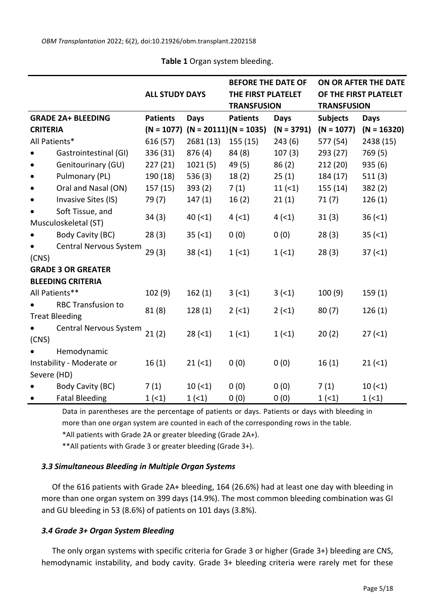|                           |                           |                       |                                      | <b>BEFORE THE DATE OF</b> |              | ON OR AFTER THE DATE |                       |  |
|---------------------------|---------------------------|-----------------------|--------------------------------------|---------------------------|--------------|----------------------|-----------------------|--|
|                           |                           | <b>ALL STUDY DAYS</b> |                                      | THE FIRST PLATELET        |              |                      | OF THE FIRST PLATELET |  |
|                           |                           |                       |                                      | <b>TRANSFUSION</b>        |              | <b>TRANSFUSION</b>   |                       |  |
| <b>GRADE 2A+ BLEEDING</b> |                           | <b>Patients</b>       | <b>Days</b>                          | <b>Patients</b>           | <b>Days</b>  | <b>Subjects</b>      | <b>Days</b>           |  |
| <b>CRITERIA</b>           |                           |                       | $(N = 1077)$ $(N = 20111)(N = 1035)$ |                           | $(N = 3791)$ | $(N = 1077)$         | $(N = 16320)$         |  |
| All Patients*             |                           | 616 (57)              | 2681(13)                             | 155(15)                   | 243(6)       | 577 (54)             | 2438 (15)             |  |
|                           | Gastrointestinal (GI)     | 336 (31)              | 876(4)                               | 84(8)                     | 107(3)       | 293 (27)             | 769(5)                |  |
|                           | Genitourinary (GU)        | 227(21)               | 1021(5)                              | 49 (5)                    | 86(2)        | 212(20)              | 935(6)                |  |
|                           | Pulmonary (PL)            | 190 (18)              | 536(3)                               | 18(2)                     | 25(1)        | 184 (17)             | 511(3)                |  |
|                           | Oral and Nasal (ON)       | 157(15)               | 393(2)                               | 7(1)                      | 11(1)        | 155 (14)             | 382(2)                |  |
|                           | Invasive Sites (IS)       | 79(7)                 | 147(1)                               | 16(2)                     | 21(1)        | 71(7)                | 126(1)                |  |
|                           | Soft Tissue, and          | 34(3)                 | 40(1)                                | 4(1)                      | 4(1)         | 31(3)                | 36(1)                 |  |
|                           | Musculoskeletal (ST)      |                       |                                      |                           |              |                      |                       |  |
|                           | Body Cavity (BC)          | 28(3)                 | 35(1)                                | 0(0)                      | 0(0)         | 28(3)                | 35(1)                 |  |
|                           | Central Nervous System    | 29(3)                 | 38(1)                                | 1(1)                      | 1(1)         | 28(3)                | 37(1)                 |  |
| (CNS)                     |                           |                       |                                      |                           |              |                      |                       |  |
|                           | <b>GRADE 3 OR GREATER</b> |                       |                                      |                           |              |                      |                       |  |
|                           | <b>BLEEDING CRITERIA</b>  |                       |                                      |                           |              |                      |                       |  |
|                           | All Patients**            | 102 (9)               | 162(1)                               | 3(1)                      | 3(1)         | 100(9)               | 159(1)                |  |
|                           | <b>RBC Transfusion to</b> | 81(8)                 | 128(1)                               | $2(-1)$                   | $2(-1)$      | 80(7)                | 126(1)                |  |
|                           | <b>Treat Bleeding</b>     |                       |                                      |                           |              |                      |                       |  |
|                           | Central Nervous System    | 21(2)                 | 28(1)                                | 1(1)                      | 1(1)         | 20(2)                | 27(1)                 |  |
| (CNS)                     |                           |                       |                                      |                           |              |                      |                       |  |
|                           | Hemodynamic               |                       |                                      |                           |              |                      |                       |  |
|                           | Instability - Moderate or | 16(1)                 | 21(1)                                | 0(0)                      | 0(0)         | 16(1)                | 21(1)                 |  |
| Severe (HD)               |                           |                       |                                      |                           |              |                      |                       |  |
|                           | Body Cavity (BC)          | 7(1)                  | 10(1)                                | 0(0)                      | 0(0)         | 7(1)                 | 10(1)                 |  |
|                           | <b>Fatal Bleeding</b>     | 1(1)                  | 1(1)                                 | 0(0)                      | 0(0)         | 1(1)                 | 1(1)                  |  |

**Table 1** Organ system bleeding.

Data in parentheses are the percentage of patients or days. Patients or days with bleeding in more than one organ system are counted in each of the corresponding rows in the table.

\*All patients with Grade 2A or greater bleeding (Grade 2A+).

\*\*All patients with Grade 3 or greater bleeding (Grade 3+).

#### *3.3 Simultaneous Bleeding in Multiple Organ Systems*

Of the 616 patients with Grade 2A+ bleeding, 164 (26.6%) had at least one day with bleeding in more than one organ system on 399 days (14.9%). The most common bleeding combination was GI and GU bleeding in 53 (8.6%) of patients on 101 days (3.8%).

### *3.4 Grade 3+ Organ System Bleeding*

The only organ systems with specific criteria for Grade 3 or higher (Grade 3+) bleeding are CNS, hemodynamic instability, and body cavity. Grade 3+ bleeding criteria were rarely met for these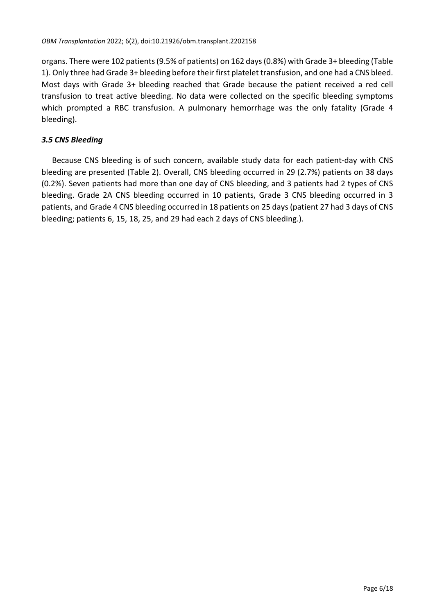organs. There were 102 patients(9.5% of patients) on 162 days(0.8%) with Grade 3+ bleeding (Table 1). Only three had Grade 3+ bleeding before their first platelet transfusion, and one had a CNS bleed. Most days with Grade 3+ bleeding reached that Grade because the patient received a red cell transfusion to treat active bleeding. No data were collected on the specific bleeding symptoms which prompted a RBC transfusion. A pulmonary hemorrhage was the only fatality (Grade 4 bleeding).

## *3.5 CNS Bleeding*

Because CNS bleeding is of such concern, available study data for each patient-day with CNS bleeding are presented (Table 2). Overall, CNS bleeding occurred in 29 (2.7%) patients on 38 days (0.2%). Seven patients had more than one day of CNS bleeding, and 3 patients had 2 types of CNS bleeding. Grade 2A CNS bleeding occurred in 10 patients, Grade 3 CNS bleeding occurred in 3 patients, and Grade 4 CNS bleeding occurred in 18 patients on 25 days(patient 27 had 3 days of CNS bleeding; patients 6, 15, 18, 25, and 29 had each 2 days of CNS bleeding.).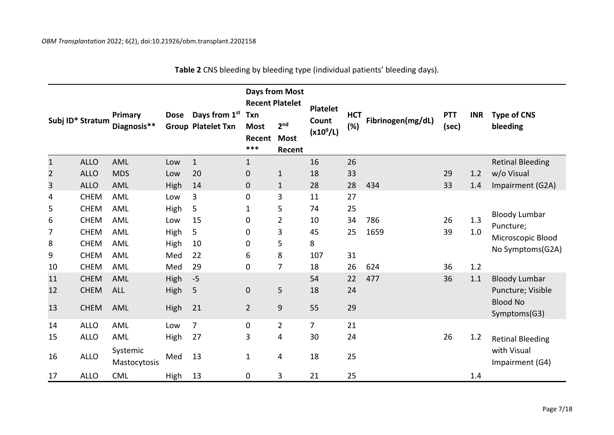|                | Subj ID* Stratum | Primary<br>Diagnosis**   | <b>Dose</b> | Days from 1 <sup>st</sup><br><b>Group Platelet Txn</b> | <b>Days from Most</b><br><b>Recent Platelet</b><br><b>Txn</b> |                                          | <b>Platelet</b>      | <b>HCT</b> |                   | <b>PTT</b> | <b>INR</b> | <b>Type of CNS</b>                   |
|----------------|------------------|--------------------------|-------------|--------------------------------------------------------|---------------------------------------------------------------|------------------------------------------|----------------------|------------|-------------------|------------|------------|--------------------------------------|
|                |                  |                          |             |                                                        | <b>Most</b><br>Recent<br>***                                  | 2 <sub>nd</sub><br><b>Most</b><br>Recent | Count<br>$(x10^9/L)$ | (%)        | Fibrinogen(mg/dL) | (sec)      |            | bleeding                             |
| $\mathbf{1}$   | <b>ALLO</b>      | <b>AML</b>               | Low         | $\mathbf 1$                                            | $\mathbf{1}$                                                  |                                          | 16                   | 26         |                   |            |            | <b>Retinal Bleeding</b>              |
| $\overline{2}$ | <b>ALLO</b>      | <b>MDS</b>               | Low         | 20                                                     | $\mathbf 0$                                                   | $\mathbf{1}$                             | 18                   | 33         |                   | 29         | 1.2        | w/o Visual                           |
| 3              | <b>ALLO</b>      | <b>AML</b>               | High        | 14                                                     | $\mathbf 0$                                                   | $\mathbf{1}$                             | 28                   | 28         | 434               | 33         | 1.4        | Impairment (G2A)                     |
| 4              | <b>CHEM</b>      | AML                      | Low         | 3                                                      | $\mathbf 0$                                                   | 3                                        | 11                   | 27         |                   |            |            |                                      |
| 5              | <b>CHEM</b>      | <b>AML</b>               | High        | 5                                                      | 1                                                             | 5                                        | 74                   | 25         |                   |            |            |                                      |
| 6              | <b>CHEM</b>      | AML                      | Low         | 15                                                     | 0                                                             | $\overline{\mathbf{c}}$                  | 10                   | 34         | 786               | 26         | 1.3        | <b>Bloody Lumbar</b>                 |
| 7              | <b>CHEM</b>      | AML                      | High        | 5                                                      | 0                                                             | 3                                        | 45                   | 25         | 1659              | 39         | 1.0        | Puncture;                            |
| 8              | <b>CHEM</b>      | <b>AML</b>               | High        | 10                                                     | 0                                                             | 5                                        | 8                    |            |                   |            |            | Microscopic Blood                    |
| 9              | <b>CHEM</b>      | AML                      | Med         | 22                                                     | 6                                                             | 8                                        | 107                  | 31         |                   |            |            | No Symptoms(G2A)                     |
| 10             | <b>CHEM</b>      | <b>AML</b>               | Med         | 29                                                     | $\mathbf 0$                                                   | $\overline{7}$                           | 18                   | 26         | 624               | 36         | 1.2        |                                      |
| 11             | <b>CHEM</b>      | <b>AML</b>               | High        | $-5$                                                   |                                                               |                                          | 54                   | 22         | 477               | 36         | 1.1        | <b>Bloody Lumbar</b>                 |
| 12             | <b>CHEM</b>      | <b>ALL</b>               | High        | 5                                                      | $\mathbf 0$                                                   | 5                                        | 18                   | 24         |                   |            |            | Puncture; Visible<br><b>Blood No</b> |
| 13             | <b>CHEM</b>      | <b>AML</b>               | High        | 21                                                     | $\overline{2}$                                                | 9                                        | 55                   | 29         |                   |            |            | Symptoms(G3)                         |
| 14             | <b>ALLO</b>      | AML                      | Low         | $\overline{7}$                                         | $\mathbf 0$                                                   | $\overline{2}$                           | $\overline{7}$       | 21         |                   |            |            |                                      |
| 15             | <b>ALLO</b>      | AML                      | High        | 27                                                     | 3                                                             | 4                                        | 30                   | 24         |                   | 26         | 1.2        | <b>Retinal Bleeding</b>              |
| 16             | <b>ALLO</b>      | Systemic<br>Mastocytosis | Med         | 13                                                     | $\mathbf{1}$                                                  | 4                                        | 18                   | 25         |                   |            |            | with Visual<br>Impairment (G4)       |
| 17             | <b>ALLO</b>      | <b>CML</b>               | High        | 13                                                     | 0                                                             | 3                                        | 21                   | 25         |                   |            | 1.4        |                                      |

**Table 2** CNS bleeding by bleeding type (individual patients' bleeding days).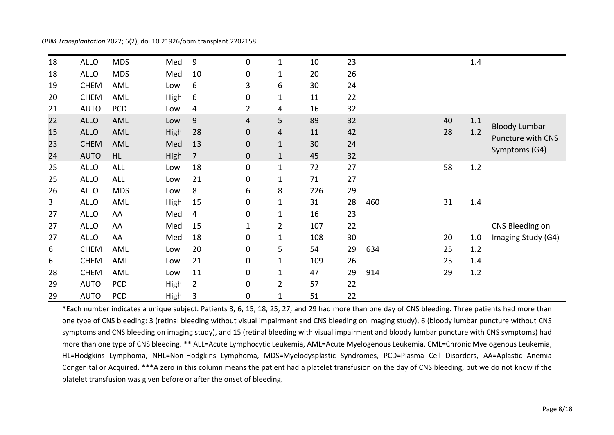| OBM Transplantation 2022; 6(2), doi:10.21926/obm.transplant.2202158 |  |  |  |  |
|---------------------------------------------------------------------|--|--|--|--|
|---------------------------------------------------------------------|--|--|--|--|

| 18 | <b>ALLO</b> | <b>MDS</b> | Med  | 9              | 0              | $\mathbf{1}$   | 10  | 23 |     |    | 1.4     |                          |
|----|-------------|------------|------|----------------|----------------|----------------|-----|----|-----|----|---------|--------------------------|
| 18 | <b>ALLO</b> | <b>MDS</b> | Med  | 10             | 0              | $\mathbf{1}$   | 20  | 26 |     |    |         |                          |
| 19 | <b>CHEM</b> | AML        | Low  | 6              | 3              | 6              | 30  | 24 |     |    |         |                          |
| 20 | <b>CHEM</b> | AML        | High | 6              | 0              | $\mathbf{1}$   | 11  | 22 |     |    |         |                          |
| 21 | <b>AUTO</b> | PCD        | Low  | 4              | $\overline{2}$ | 4              | 16  | 32 |     |    |         |                          |
| 22 | <b>ALLO</b> | AML        | Low  | 9              | 4              | 5              | 89  | 32 |     | 40 | $1.1$   | <b>Bloody Lumbar</b>     |
| 15 | <b>ALLO</b> | AML        | High | 28             | 0              | 4              | 11  | 42 |     | 28 | 1.2     | <b>Puncture with CNS</b> |
| 23 | <b>CHEM</b> | AML        | Med  | 13             | 0              | $\mathbf{1}$   | 30  | 24 |     |    |         |                          |
| 24 | <b>AUTO</b> | <b>HL</b>  | High | 7              | $\mathbf 0$    | $\mathbf 1$    | 45  | 32 |     |    |         | Symptoms (G4)            |
| 25 | <b>ALLO</b> | <b>ALL</b> | Low  | 18             | 0              | $\mathbf{1}$   | 72  | 27 |     | 58 | 1.2     |                          |
| 25 | <b>ALLO</b> | <b>ALL</b> | Low  | 21             | 0              | $\mathbf{1}$   | 71  | 27 |     |    |         |                          |
| 26 | <b>ALLO</b> | <b>MDS</b> | Low  | 8              | 6              | 8              | 226 | 29 |     |    |         |                          |
| 3  | <b>ALLO</b> | AML        | High | 15             | 0              | $\mathbf{1}$   | 31  | 28 | 460 | 31 | 1.4     |                          |
| 27 | <b>ALLO</b> | AA         | Med  | 4              | 0              | $\mathbf{1}$   | 16  | 23 |     |    |         |                          |
| 27 | <b>ALLO</b> | AA         | Med  | 15             | 1              | $\overline{2}$ | 107 | 22 |     |    |         | CNS Bleeding on          |
| 27 | <b>ALLO</b> | AA         | Med  | 18             | 0              | 1              | 108 | 30 |     | 20 | 1.0     | Imaging Study (G4)       |
| 6  | <b>CHEM</b> | <b>AML</b> | Low  | 20             | 0              | 5              | 54  | 29 | 634 | 25 | 1.2     |                          |
| 6  | <b>CHEM</b> | AML        | Low  | 21             | 0              | $\mathbf{1}$   | 109 | 26 |     | 25 | $1.4\,$ |                          |
| 28 | <b>CHEM</b> | AML        | Low  | 11             | 0              | $\mathbf{1}$   | 47  | 29 | 914 | 29 | 1.2     |                          |
| 29 | <b>AUTO</b> | <b>PCD</b> | High | $\overline{2}$ | 0              | $\overline{2}$ | 57  | 22 |     |    |         |                          |
| 29 | <b>AUTO</b> | PCD        | High | 3              | 0              | $\mathbf 1$    | 51  | 22 |     |    |         |                          |

\*Each number indicates a unique subject. Patients 3, 6, 15, 18, 25, 27, and 29 had more than one day of CNS bleeding. Three patients had more than one type of CNS bleeding: 3 (retinal bleeding without visual impairment and CNS bleeding on imaging study), 6 (bloody lumbar puncture without CNS symptoms and CNS bleeding on imaging study), and 15 (retinal bleeding with visual impairment and bloody lumbar puncture with CNS symptoms) had more than one type of CNS bleeding. \*\* ALL=Acute Lymphocytic Leukemia, AML=Acute Myelogenous Leukemia, CML=Chronic Myelogenous Leukemia, HL=Hodgkins Lymphoma, NHL=Non-Hodgkins Lymphoma, MDS=Myelodysplastic Syndromes, PCD=Plasma Cell Disorders, AA=Aplastic Anemia Congenital or Acquired. \*\*\*A zero in this column means the patient had a platelet transfusion on the day of CNS bleeding, but we do not know if the platelet transfusion was given before or after the onset of bleeding.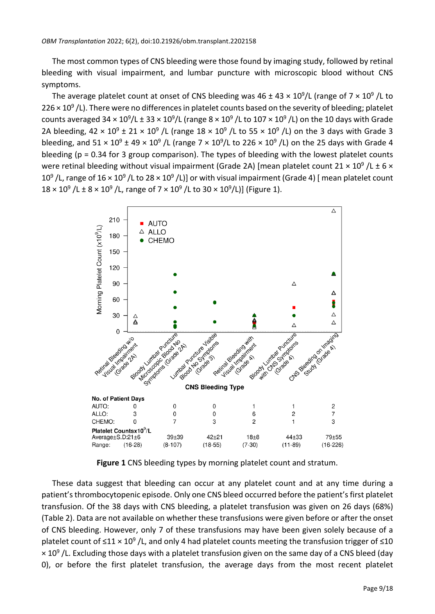The most common types of CNS bleeding were those found by imaging study, followed by retinal bleeding with visual impairment, and lumbar puncture with microscopic blood without CNS symptoms.

The average platelet count at onset of CNS bleeding was 46 ± 43  $\times$  10<sup>9</sup>/L (range of 7  $\times$  10<sup>9</sup> /L to 226  $\times$  10<sup>9</sup> /L). There were no differences in platelet counts based on the severity of bleeding; platelet counts averaged 34  $\times$  10<sup>9</sup>/L ± 33  $\times$  10<sup>9</sup>/L (range 8  $\times$  10<sup>9</sup> /L to 107  $\times$  10<sup>9</sup> /L) on the 10 days with Grade 2A bleeding,  $42 \times 10^9 \pm 21 \times 10^9$  /L (range  $18 \times 10^9$  /L to 55  $\times$  10<sup>9</sup> /L) on the 3 days with Grade 3 bleeding, and  $51 \times 10^9 \pm 49 \times 10^9$  /L (range  $7 \times 10^9$ /L to 226  $\times$  10<sup>9</sup> /L) on the 25 days with Grade 4 bleeding (p = 0.34 for 3 group comparison). The types of bleeding with the lowest platelet counts were retinal bleeding without visual impairment (Grade 2A) [mean platelet count 21  $\times$  10<sup>9</sup> /L  $\pm$  6  $\times$ 10<sup>9</sup>/L, range of 16 × 10<sup>9</sup>/L to 28 × 10<sup>9</sup>/L)] or with visual impairment (Grade 4) [mean platelet count  $18 \times 10^9$  /L  $\pm 8 \times 10^9$  /L, range of 7  $\times 10^9$  /L to 30  $\times 10^9$ /L)] (Figure 1).



**Figure 1** CNS bleeding types by morning platelet count and stratum.

These data suggest that bleeding can occur at any platelet count and at any time during a patient's thrombocytopenic episode. Only one CNS bleed occurred before the patient's first platelet transfusion. Of the 38 days with CNS bleeding, a platelet transfusion was given on 26 days (68%) (Table 2). Data are not available on whether these transfusions were given before or after the onset of CNS bleeding. However, only 7 of these transfusions may have been given solely because of a platelet count of  $\leq$ 11 × 10<sup>9</sup>/L, and only 4 had platelet counts meeting the transfusion trigger of  $\leq$ 10  $\times$  10<sup>9</sup> /L. Excluding those days with a platelet transfusion given on the same day of a CNS bleed (day 0), or before the first platelet transfusion, the average days from the most recent platelet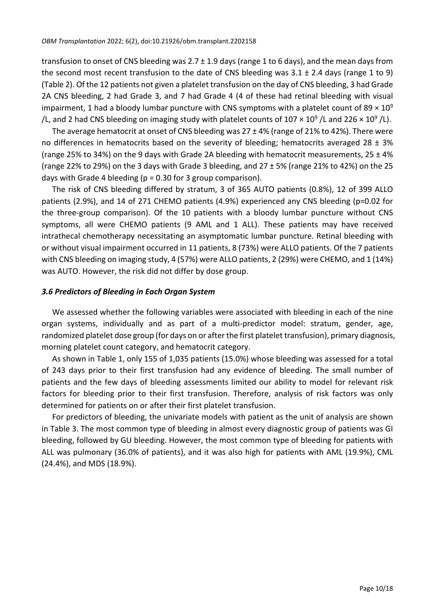transfusion to onset of CNS bleeding was  $2.7 \pm 1.9$  days (range 1 to 6 days), and the mean days from the second most recent transfusion to the date of CNS bleeding was  $3.1 \pm 2.4$  days (range 1 to 9) (Table 2). Of the 12 patients not given a platelet transfusion on the day of CNS bleeding, 3 had Grade 2A CNS bleeding, 2 had Grade 3, and 7 had Grade 4 (4 of these had retinal bleeding with visual impairment, 1 had a bloody lumbar puncture with CNS symptoms with a platelet count of 89  $\times$  10<sup>9</sup> /L, and 2 had CNS bleeding on imaging study with platelet counts of 107  $\times$  10<sup>9</sup> /L and 226  $\times$  10<sup>9</sup> /L).

The average hematocrit at onset of CNS bleeding was  $27 \pm 4\%$  (range of 21% to 42%). There were no differences in hematocrits based on the severity of bleeding; hematocrits averaged 28  $\pm$  3% (range 25% to 34%) on the 9 days with Grade 2A bleeding with hematocrit measurements, 25 ± 4% (range 22% to 29%) on the 3 days with Grade 3 bleeding, and 27 ± 5% (range 21% to 42%) on the 25 days with Grade 4 bleeding ( $p = 0.30$  for 3 group comparison).

The risk of CNS bleeding differed by stratum, 3 of 365 AUTO patients (0.8%), 12 of 399 ALLO patients (2.9%), and 14 of 271 CHEMO patients (4.9%) experienced any CNS bleeding (p=0.02 for the three-group comparison). Of the 10 patients with a bloody lumbar puncture without CNS symptoms, all were CHEMO patients (9 AML and 1 ALL). These patients may have received intrathecal chemotherapy necessitating an asymptomatic lumbar puncture. Retinal bleeding with or without visual impairment occurred in 11 patients, 8 (73%) were ALLO patients. Of the 7 patients with CNS bleeding on imaging study, 4 (57%) were ALLO patients, 2 (29%) were CHEMO, and 1 (14%) was AUTO. However, the risk did not differ by dose group.

#### *3.6 Predictors of Bleeding in Each Organ System*

We assessed whether the following variables were associated with bleeding in each of the nine organ systems, individually and as part of a multi-predictor model: stratum, gender, age, randomized platelet dose group (for days on or after the first platelet transfusion), primary diagnosis, morning platelet count category, and hematocrit category.

As shown in Table 1, only 155 of 1,035 patients (15.0%) whose bleeding was assessed for a total of 243 days prior to their first transfusion had any evidence of bleeding. The small number of patients and the few days of bleeding assessments limited our ability to model for relevant risk factors for bleeding prior to their first transfusion. Therefore, analysis of risk factors was only determined for patients on or after their first platelet transfusion.

For predictors of bleeding, the univariate models with patient as the unit of analysis are shown in Table 3. The most common type of bleeding in almost every diagnostic group of patients was GI bleeding, followed by GU bleeding. However, the most common type of bleeding for patients with ALL was pulmonary (36.0% of patients), and it was also high for patients with AML (19.9%), CML (24.4%), and MDS (18.9%).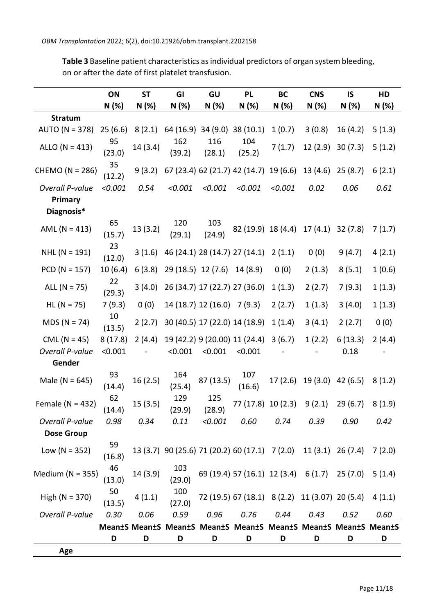**Table 3** Baseline patient characteristics asindividual predictors of organ system bleeding, on or after the date of first platelet transfusion.

|                              | ON           | <b>ST</b> | GI            | GU                            | <b>PL</b>                                                        | BC      | <b>CNS</b> | IS       | HD     |
|------------------------------|--------------|-----------|---------------|-------------------------------|------------------------------------------------------------------|---------|------------|----------|--------|
|                              | N(%)         | N(%)      | N (%)         | N (%)                         | N (%)                                                            | N(%)    | N (%)      | N (%)    | N (%)  |
| <b>Stratum</b>               |              |           |               |                               |                                                                  |         |            |          |        |
| AUTO ( $N = 378$ )           | 25(6.6)      | 8(2.1)    |               |                               | 64 (16.9) 34 (9.0) 38 (10.1)                                     | 1(0.7)  | 3(0.8)     | 16(4.2)  | 5(1.3) |
| ALLO ( $N = 413$ )           | 95<br>(23.0) | 14 (3.4)  | 162<br>(39.2) | 116<br>(28.1)                 | 104<br>(25.2)                                                    | 7(1.7)  | 12(2.9)    | 30(7.3)  | 5(1.2) |
| CHEMO (N = 286)              | 35<br>(12.2) | 9(3.2)    |               |                               | 67 (23.4) 62 (21.7) 42 (14.7)                                    | 19(6.6) | 13(4.6)    | 25(8.7)  | 6(2.1) |
| Overall P-value              | < 0.001      | 0.54      | < 0.001       | < 0.001                       | < 0.001                                                          | < 0.001 | 0.02       | 0.06     | 0.61   |
| <b>Primary</b><br>Diagnosis* |              |           |               |                               |                                                                  |         |            |          |        |
| AML ( $N = 413$ )            | 65<br>(15.7) | 13(3.2)   | 120<br>(29.1) | 103<br>(24.9)                 | 82 (19.9) 18 (4.4)                                               |         | 17(4.1)    | 32(7.8)  | 7(1.7) |
| $NHL (N = 191)$              | 23<br>(12.0) | 3(1.6)    |               |                               | 46 (24.1) 28 (14.7) 27 (14.1)                                    | 2(1.1)  | 0(0)       | 9(4.7)   | 4(2.1) |
| $PCD (N = 157)$              | 10(6.4)      | 6(3.8)    |               | 29 (18.5) 12 (7.6)            | 14 (8.9)                                                         | 0(0)    | 2(1.3)     | 8(5.1)   | 1(0.6) |
| ALL $(N = 75)$               | 22<br>(29.3) | 3(4.0)    |               | 26 (34.7) 17 (22.7) 27 (36.0) |                                                                  | 1(1.3)  | 2(2.7)     | 7(9.3)   | 1(1.3) |
| $HL (N = 75)$                | 7(9.3)       | 0(0)      |               | 14 (18.7) 12 (16.0) 7 (9.3)   |                                                                  | 2(2.7)  | 1(1.3)     | 3(4.0)   | 1(1.3) |
| $MDS (N = 74)$               | 10<br>(13.5) | 2(2.7)    |               |                               | 30 (40.5) 17 (22.0) 14 (18.9)                                    | 1(1.4)  | 3(4.1)     | 2(2.7)   | 0(0)   |
| CML ( $N = 45$ )             | 8(17.8)      | 2(4.4)    |               |                               | 19 (42.2) 9 (20.00) 11 (24.4)                                    | 3(6.7)  | 1(2.2)     | 6(13.3)  | 2(4.4) |
| <b>Overall P-value</b>       | < 0.001      |           | < 0.001       | < 0.001                       | < 0.001                                                          |         |            | 0.18     |        |
| Gender                       |              |           |               |                               |                                                                  |         |            |          |        |
| Male ( $N = 645$ )           | 93<br>(14.4) | 16(2.5)   | 164<br>(25.4) | 87 (13.5)                     | 107<br>(16.6)                                                    | 17(2.6) | 19 (3.0)   | 42 (6.5) | 8(1.2) |
| Female ( $N = 432$ )         | 62<br>(14.4) | 15(3.5)   | 129<br>(29.9) | 125<br>(28.9)                 | 77 (17.8) 10 (2.3)                                               |         | 9(2.1)     | 29(6.7)  | 8(1.9) |
| Overall P-value              | 0.98         | 0.34      | 0.11          | < 0.001                       | 0.60                                                             | 0.74    | 0.39       | 0.90     | 0.42   |
| <b>Dose Group</b>            |              |           |               |                               |                                                                  |         |            |          |        |
| Low ( $N = 352$ )            | 59<br>(16.8) |           |               |                               | 13 (3.7) 90 (25.6) 71 (20.2) 60 (17.1) 7 (2.0) 11 (3.1) 26 (7.4) |         |            |          | 7(2.0) |
| Medium ( $N = 355$ )         | 46<br>(13.0) | 14 (3.9)  | 103<br>(29.0) |                               | 69 (19.4) 57 (16.1) 12 (3.4) 6 (1.7)                             |         |            | 25 (7.0) | 5(1.4) |
| High ( $N = 370$ )           | 50<br>(13.5) | 4(1.1)    | 100<br>(27.0) |                               | 72 (19.5) 67 (18.1) 8 (2.2) 11 (3.07) 20 (5.4)                   |         |            |          | 4(1.1) |
| Overall P-value              | 0.30         | 0.06      | 0.59          | 0.96                          | 0.76                                                             | 0.44    | 0.43       | 0.52     | 0.60   |
|                              |              |           |               |                               | Mean±S Mean±S Mean±S Mean±S Mean±S Mean±S Mean±S Mean±S Mean±S   |         |            |          |        |
|                              | D            | D         | D             | D                             | D                                                                | D       | D          | D        | D      |
| Age                          |              |           |               |                               |                                                                  |         |            |          |        |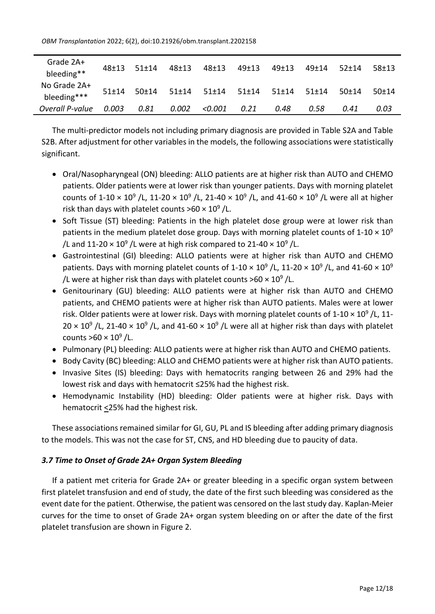*OBM Transplantation* 2022; 6(2), doi:10.21926/obm.transplant.2202158

| Grade 2A+<br>bleeding**     | $48+13$   | $51+14$ | $48+13$ | 48±13   | 49±13 | $49+13$ | $49+14$   | $52+14$ | $58+13$ |
|-----------------------------|-----------|---------|---------|---------|-------|---------|-----------|---------|---------|
| No Grade 2A+<br>bleeding*** | $51 + 14$ | 50±14   | $51+14$ | $51+14$ | 51±14 | $51+14$ | $51 + 14$ | $50+14$ | $50+14$ |
| Overall P-value             | 0.003     | 0.81    | 0.002   | <0.001  | 0.21  | 0.48    | 0.58      | 0.41    | 0.03    |

The multi-predictor models not including primary diagnosis are provided in Table S2A and Table S2B. After adjustment for other variables in the models, the following associations were statistically significant.

- Oral/Nasopharyngeal (ON) bleeding: ALLO patients are at higher risk than AUTO and CHEMO patients. Older patients were at lower risk than younger patients. Days with morning platelet counts of 1-10  $\times$  10<sup>9</sup> /L, 11-20  $\times$  10<sup>9</sup> /L, 21-40  $\times$  10<sup>9</sup> /L, and 41-60  $\times$  10<sup>9</sup> /L were all at higher risk than days with platelet counts >60  $\times$  10<sup>9</sup> /L.
- Soft Tissue (ST) bleeding: Patients in the high platelet dose group were at lower risk than patients in the medium platelet dose group. Days with morning platelet counts of  $1{\text -}10 \times 10^9$ /L and 11-20  $\times$  10<sup>9</sup> /L were at high risk compared to 21-40  $\times$  10<sup>9</sup> /L.
- Gastrointestinal (GI) bleeding: ALLO patients were at higher risk than AUTO and CHEMO patients. Days with morning platelet counts of 1-10  $\times$  10<sup>9</sup> /L, 11-20  $\times$  10<sup>9</sup> /L, and 41-60  $\times$  10<sup>9</sup> /L were at higher risk than days with platelet counts >60  $\times$  10<sup>9</sup> /L.
- Genitourinary (GU) bleeding: ALLO patients were at higher risk than AUTO and CHEMO patients, and CHEMO patients were at higher risk than AUTO patients. Males were at lower risk. Older patients were at lower risk. Days with morning platelet counts of  $1\text{-}10 \times 10^9$  /L, 11- $20 \times 10^9$  /L, 21-40  $\times$  10<sup>9</sup> /L, and 41-60  $\times$  10<sup>9</sup> /L were all at higher risk than days with platelet counts  $>60 \times 10^9$  /L.
- Pulmonary (PL) bleeding: ALLO patients were at higher risk than AUTO and CHEMO patients.
- Body Cavity (BC) bleeding: ALLO and CHEMO patients were at higher risk than AUTO patients.
- Invasive Sites (IS) bleeding: Days with hematocrits ranging between 26 and 29% had the lowest risk and days with hematocrit ≤25% had the highest risk.
- Hemodynamic Instability (HD) bleeding: Older patients were at higher risk. Days with hematocrit <25% had the highest risk.

These associations remained similar for GI, GU, PL and IS bleeding after adding primary diagnosis to the models. This was not the case for ST, CNS, and HD bleeding due to paucity of data.

## *3.7 Time to Onset of Grade 2A+ Organ System Bleeding*

If a patient met criteria for Grade 2A+ or greater bleeding in a specific organ system between first platelet transfusion and end of study, the date of the first such bleeding was considered as the event date for the patient. Otherwise, the patient was censored on the last study day. Kaplan-Meier curves for the time to onset of Grade 2A+ organ system bleeding on or after the date of the first platelet transfusion are shown in Figure 2.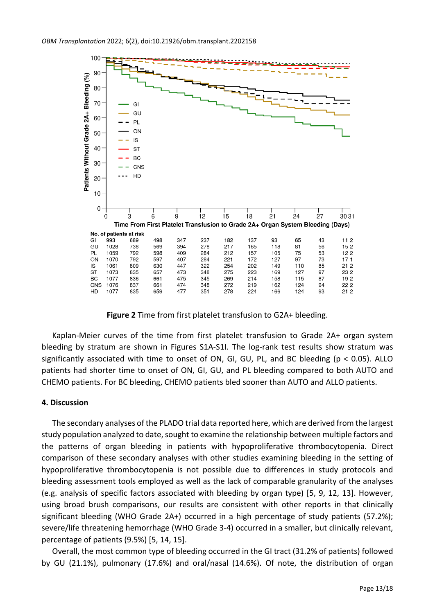

**Figure 2** Time from first platelet transfusion to G2A+ bleeding.

Kaplan-Meier curves of the time from first platelet transfusion to Grade 2A+ organ system bleeding by stratum are shown in Figures S1A-S1I. The log-rank test results show stratum was significantly associated with time to onset of ON, GI, GU, PL, and BC bleeding (p < 0.05). ALLO patients had shorter time to onset of ON, GI, GU, and PL bleeding compared to both AUTO and CHEMO patients. For BC bleeding, CHEMO patients bled sooner than AUTO and ALLO patients.

#### **4. Discussion**

The secondary analyses of the PLADO trial data reported here, which are derived from the largest study population analyzed to date, sought to examine the relationship between multiple factors and the patterns of organ bleeding in patients with hypoproliferative thrombocytopenia. Direct comparison of these secondary analyses with other studies examining bleeding in the setting of hypoproliferative thrombocytopenia is not possible due to differences in study protocols and bleeding assessment tools employed as well as the lack of comparable granularity of the analyses (e.g. analysis of specific factors associated with bleeding by organ type) [5, 9, 12, 13]. However, using broad brush comparisons, our results are consistent with other reports in that clinically significant bleeding (WHO Grade 2A+) occurred in a high percentage of study patients (57.2%); severe/life threatening hemorrhage (WHO Grade 3-4) occurred in a smaller, but clinically relevant, percentage of patients (9.5%) [5, 14, 15].

Overall, the most common type of bleeding occurred in the GI tract (31.2% of patients) followed by GU (21.1%), pulmonary (17.6%) and oral/nasal (14.6%). Of note, the distribution of organ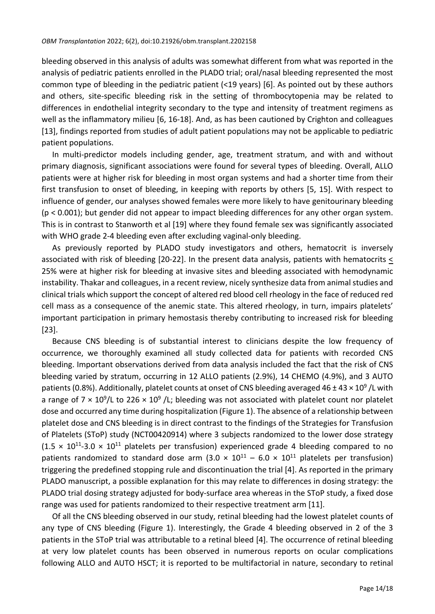bleeding observed in this analysis of adults was somewhat different from what was reported in the analysis of pediatric patients enrolled in the PLADO trial; oral/nasal bleeding represented the most common type of bleeding in the pediatric patient (<19 years) [6]. As pointed out by these authors and others, site-specific bleeding risk in the setting of thrombocytopenia may be related to differences in endothelial integrity secondary to the type and intensity of treatment regimens as well as the inflammatory milieu [6, 16-18]. And, as has been cautioned by Crighton and colleagues [13], findings reported from studies of adult patient populations may not be applicable to pediatric patient populations.

In multi-predictor models including gender, age, treatment stratum, and with and without primary diagnosis, significant associations were found for several types of bleeding. Overall, ALLO patients were at higher risk for bleeding in most organ systems and had a shorter time from their first transfusion to onset of bleeding, in keeping with reports by others [5, 15]. With respect to influence of gender, our analyses showed females were more likely to have genitourinary bleeding (p < 0.001); but gender did not appear to impact bleeding differences for any other organ system. This is in contrast to Stanworth et al [19] where they found female sex was significantly associated with WHO grade 2-4 bleeding even after excluding vaginal-only bleeding.

As previously reported by PLADO study investigators and others, hematocrit is inversely associated with risk of bleeding [20-22]. In the present data analysis, patients with hematocrits < 25% were at higher risk for bleeding at invasive sites and bleeding associated with hemodynamic instability. Thakar and colleagues, in a recent review, nicely synthesize data from animal studies and clinical trials which support the concept of altered red blood cell rheology in the face of reduced red cell mass as a consequence of the anemic state. This altered rheology, in turn, impairs platelets' important participation in primary hemostasis thereby contributing to increased risk for bleeding [23].

Because CNS bleeding is of substantial interest to clinicians despite the low frequency of occurrence, we thoroughly examined all study collected data for patients with recorded CNS bleeding. Important observations derived from data analysis included the fact that the risk of CNS bleeding varied by stratum, occurring in 12 ALLO patients (2.9%), 14 CHEMO (4.9%), and 3 AUTO patients (0.8%). Additionally, platelet counts at onset of CNS bleeding averaged 46 ± 43  $\times$  10<sup>9</sup> /L with a range of 7  $\times$  10<sup>9</sup>/L to 226  $\times$  10<sup>9</sup> /L; bleeding was not associated with platelet count nor platelet dose and occurred any time during hospitalization (Figure 1). The absence of a relationship between platelet dose and CNS bleeding is in direct contrast to the findings of the Strategies for Transfusion of Platelets (SToP) study (NCT00420914) where 3 subjects randomized to the lower dose strategy  $(1.5 \times 10^{11} - 3.0 \times 10^{11})$  platelets per transfusion) experienced grade 4 bleeding compared to no patients randomized to standard dose arm  $(3.0 \times 10^{11} - 6.0 \times 10^{11})$  platelets per transfusion) triggering the predefined stopping rule and discontinuation the trial [4]. As reported in the primary PLADO manuscript, a possible explanation for this may relate to differences in dosing strategy: the PLADO trial dosing strategy adjusted for body-surface area whereas in the SToP study, a fixed dose range was used for patients randomized to their respective treatment arm [11].

Of all the CNS bleeding observed in our study, retinal bleeding had the lowest platelet counts of any type of CNS bleeding (Figure 1). Interestingly, the Grade 4 bleeding observed in 2 of the 3 patients in the SToP trial was attributable to a retinal bleed [4]. The occurrence of retinal bleeding at very low platelet counts has been observed in numerous reports on ocular complications following ALLO and AUTO HSCT; it is reported to be multifactorial in nature, secondary to retinal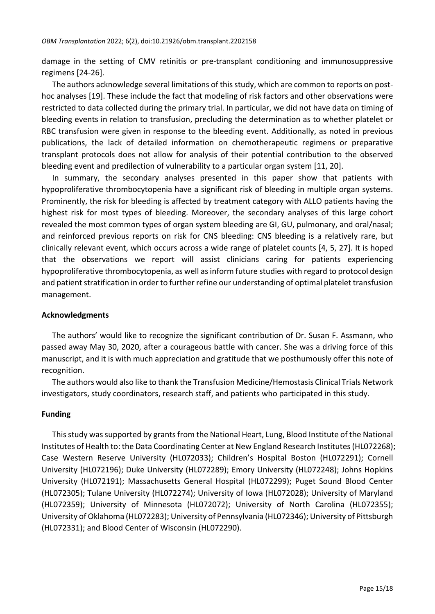damage in the setting of CMV retinitis or pre-transplant conditioning and immunosuppressive regimens [24-26].

The authors acknowledge several limitations of thisstudy, which are common to reports on posthoc analyses [19]. These include the fact that modeling of risk factors and other observations were restricted to data collected during the primary trial. In particular, we did not have data on timing of bleeding events in relation to transfusion, precluding the determination as to whether platelet or RBC transfusion were given in response to the bleeding event. Additionally, as noted in previous publications, the lack of detailed information on chemotherapeutic regimens or preparative transplant protocols does not allow for analysis of their potential contribution to the observed bleeding event and predilection of vulnerability to a particular organ system [11, 20].

In summary, the secondary analyses presented in this paper show that patients with hypoproliferative thrombocytopenia have a significant risk of bleeding in multiple organ systems. Prominently, the risk for bleeding is affected by treatment category with ALLO patients having the highest risk for most types of bleeding. Moreover, the secondary analyses of this large cohort revealed the most common types of organ system bleeding are GI, GU, pulmonary, and oral/nasal; and reinforced previous reports on risk for CNS bleeding: CNS bleeding is a relatively rare, but clinically relevant event, which occurs across a wide range of platelet counts [4, 5, 27]. It is hoped that the observations we report will assist clinicians caring for patients experiencing hypoproliferative thrombocytopenia, as well as inform future studies with regard to protocol design and patient stratification in order to further refine our understanding of optimal platelet transfusion management.

#### **Acknowledgments**

The authors' would like to recognize the significant contribution of Dr. Susan F. Assmann, who passed away May 30, 2020, after a courageous battle with cancer. She was a driving force of this manuscript, and it is with much appreciation and gratitude that we posthumously offer this note of recognition.

The authors would also like to thank the Transfusion Medicine/Hemostasis Clinical Trials Network investigators, study coordinators, research staff, and patients who participated in this study.

#### **Funding**

This study was supported by grants from the National Heart, Lung, Blood Institute of the National Institutes of Health to: the Data Coordinating Center at New England Research Institutes(HL072268); Case Western Reserve University (HL072033); Children's Hospital Boston (HL072291); Cornell University (HL072196); Duke University (HL072289); Emory University (HL072248); Johns Hopkins University (HL072191); Massachusetts General Hospital (HL072299); Puget Sound Blood Center (HL072305); Tulane University (HL072274); University of Iowa (HL072028); University of Maryland (HL072359); University of Minnesota (HL072072); University of North Carolina (HL072355); University of Oklahoma (HL072283); University of Pennsylvania (HL072346); University of Pittsburgh (HL072331); and Blood Center of Wisconsin (HL072290).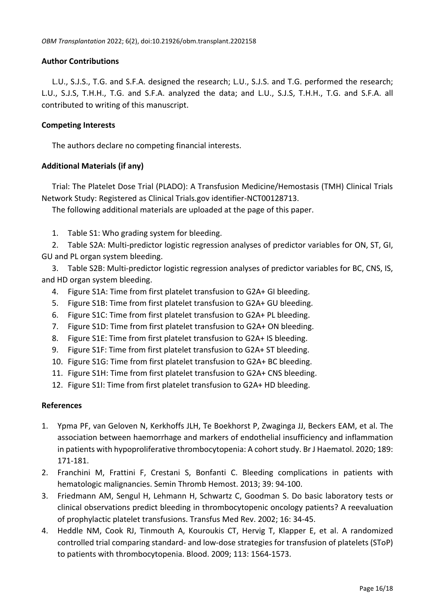#### **Author Contributions**

L.U., S.J.S., T.G. and S.F.A. designed the research; L.U., S.J.S. and T.G. performed the research; L.U., S.J.S, T.H.H., T.G. and S.F.A. analyzed the data; and L.U., S.J.S, T.H.H., T.G. and S.F.A. all contributed to writing of this manuscript.

#### **Competing Interests**

The authors declare no competing financial interests.

#### **Additional Materials (if any)**

Trial: The Platelet Dose Trial (PLADO): A Transfusion Medicine/Hemostasis (TMH) Clinical Trials Network Study: Registered as Clinical Trials.gov identifier-NCT00128713.

The following additional materials are uploaded at the page of this paper.

1. Table S1: Who grading system for bleeding.

2. Table S2A: Multi-predictor logistic regression analyses of predictor variables for ON, ST, GI, GU and PL organ system bleeding.

3. Table S2B: Multi-predictor logistic regression analyses of predictor variables for BC, CNS, IS, and HD organ system bleeding.

- 4. Figure S1A: Time from first platelet transfusion to G2A+ GI bleeding.
- 5. Figure S1B: Time from first platelet transfusion to G2A+ GU bleeding.
- 6. Figure S1C: Time from first platelet transfusion to G2A+ PL bleeding.
- 7. Figure S1D: Time from first platelet transfusion to G2A+ ON bleeding.
- 8. Figure S1E: Time from first platelet transfusion to G2A+ IS bleeding.
- 9. Figure S1F: Time from first platelet transfusion to G2A+ ST bleeding.
- 10. Figure S1G: Time from first platelet transfusion to G2A+ BC bleeding.
- 11. Figure S1H: Time from first platelet transfusion to G2A+ CNS bleeding.
- 12. Figure S1I: Time from first platelet transfusion to G2A+ HD bleeding.

#### **References**

- 1. Ypma PF, van Geloven N, Kerkhoffs JLH, Te Boekhorst P, Zwaginga JJ, Beckers EAM, et al. The association between haemorrhage and markers of endothelial insufficiency and inflammation in patients with hypoproliferative thrombocytopenia: A cohort study. Br J Haematol. 2020; 189: 171-181.
- 2. Franchini M, Frattini F, Crestani S, Bonfanti C. Bleeding complications in patients with hematologic malignancies. Semin Thromb Hemost. 2013; 39: 94-100.
- 3. Friedmann AM, Sengul H, Lehmann H, Schwartz C, Goodman S. Do basic laboratory tests or clinical observations predict bleeding in thrombocytopenic oncology patients? A reevaluation of prophylactic platelet transfusions. Transfus Med Rev. 2002; 16: 34-45.
- 4. Heddle NM, Cook RJ, Tinmouth A, Kouroukis CT, Hervig T, Klapper E, et al. A randomized controlled trial comparing standard- and low-dose strategies for transfusion of platelets (SToP) to patients with thrombocytopenia. Blood. 2009; 113: 1564-1573.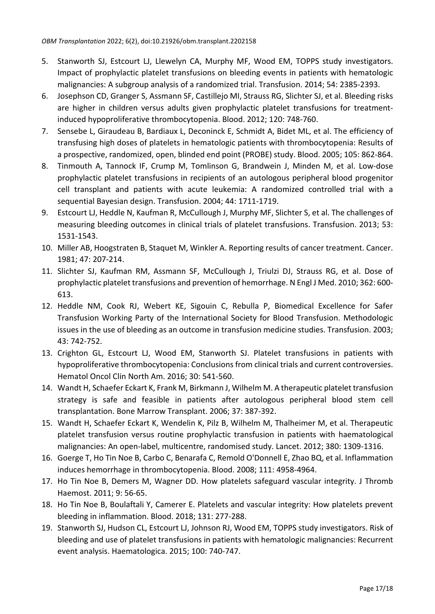- 5. Stanworth SJ, Estcourt LJ, Llewelyn CA, Murphy MF, Wood EM, TOPPS study investigators. Impact of prophylactic platelet transfusions on bleeding events in patients with hematologic malignancies: A subgroup analysis of a randomized trial. Transfusion. 2014; 54: 2385-2393.
- 6. Josephson CD, Granger S, Assmann SF, Castillejo MI, Strauss RG, Slichter SJ, et al. Bleeding risks are higher in children versus adults given prophylactic platelet transfusions for treatmentinduced hypoproliferative thrombocytopenia. Blood. 2012; 120: 748-760.
- 7. Sensebe L, Giraudeau B, Bardiaux L, Deconinck E, Schmidt A, Bidet ML, et al. The efficiency of transfusing high doses of platelets in hematologic patients with thrombocytopenia: Results of a prospective, randomized, open, blinded end point (PROBE) study. Blood. 2005; 105: 862-864.
- 8. Tinmouth A, Tannock IF, Crump M, Tomlinson G, Brandwein J, Minden M, et al. Low-dose prophylactic platelet transfusions in recipients of an autologous peripheral blood progenitor cell transplant and patients with acute leukemia: A randomized controlled trial with a sequential Bayesian design. Transfusion. 2004; 44: 1711-1719.
- 9. Estcourt LJ, Heddle N, Kaufman R, McCullough J, Murphy MF, Slichter S, et al. The challenges of measuring bleeding outcomes in clinical trials of platelet transfusions. Transfusion. 2013; 53: 1531-1543.
- 10. Miller AB, Hoogstraten B, Staquet M, Winkler A. Reporting results of cancer treatment. Cancer. 1981; 47: 207-214.
- 11. Slichter SJ, Kaufman RM, Assmann SF, McCullough J, Triulzi DJ, Strauss RG, et al. Dose of prophylactic platelet transfusions and prevention of hemorrhage. N Engl J Med. 2010; 362: 600- 613.
- 12. Heddle NM, Cook RJ, Webert KE, Sigouin C, Rebulla P, Biomedical Excellence for Safer Transfusion Working Party of the International Society for Blood Transfusion. Methodologic issues in the use of bleeding as an outcome in transfusion medicine studies. Transfusion. 2003; 43: 742-752.
- 13. Crighton GL, Estcourt LJ, Wood EM, Stanworth SJ. Platelet transfusions in patients with hypoproliferative thrombocytopenia: Conclusionsfrom clinical trials and current controversies. Hematol Oncol Clin North Am. 2016; 30: 541-560.
- 14. Wandt H, Schaefer Eckart K, Frank M, Birkmann J, Wilhelm M. A therapeutic platelet transfusion strategy is safe and feasible in patients after autologous peripheral blood stem cell transplantation. Bone Marrow Transplant. 2006; 37: 387-392.
- 15. Wandt H, Schaefer Eckart K, Wendelin K, Pilz B, Wilhelm M, Thalheimer M, et al. Therapeutic platelet transfusion versus routine prophylactic transfusion in patients with haematological malignancies: An open-label, multicentre, randomised study. Lancet. 2012; 380: 1309-1316.
- 16. Goerge T, Ho Tin Noe B, Carbo C, Benarafa C, Remold O'Donnell E, Zhao BQ, et al. Inflammation induces hemorrhage in thrombocytopenia. Blood. 2008; 111: 4958-4964.
- 17. Ho Tin Noe B, Demers M, Wagner DD. How platelets safeguard vascular integrity. J Thromb Haemost. 2011; 9: 56-65.
- 18. Ho Tin Noe B, Boulaftali Y, Camerer E. Platelets and vascular integrity: How platelets prevent bleeding in inflammation. Blood. 2018; 131: 277-288.
- 19. Stanworth SJ, Hudson CL, Estcourt LJ, Johnson RJ, Wood EM, TOPPS study investigators. Risk of bleeding and use of platelet transfusions in patients with hematologic malignancies: Recurrent event analysis. Haematologica. 2015; 100: 740-747.